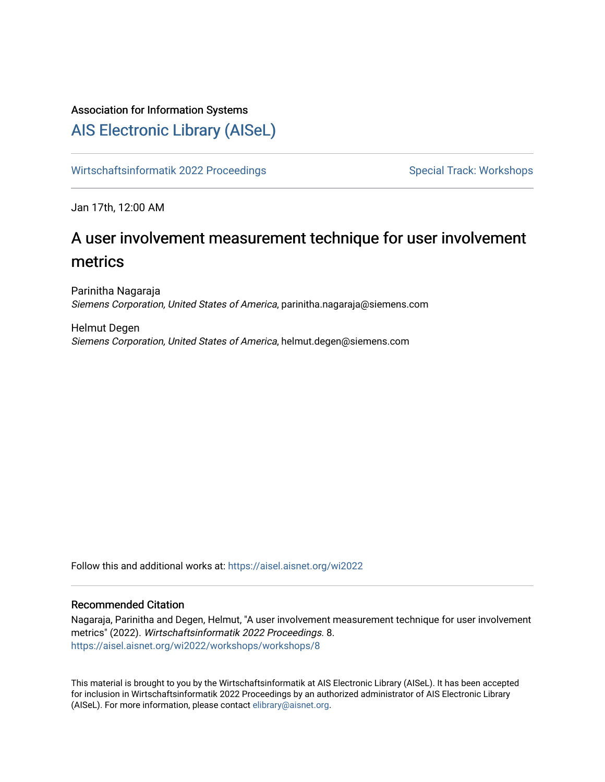## Association for Information Systems

## [AIS Electronic Library \(AISeL\)](https://aisel.aisnet.org/)

[Wirtschaftsinformatik 2022 Proceedings](https://aisel.aisnet.org/wi2022) Special Track: Workshops

Jan 17th, 12:00 AM

# A user involvement measurement technique for user involvement metrics

Parinitha Nagaraja Siemens Corporation, United States of America, parinitha.nagaraja@siemens.com

Helmut Degen Siemens Corporation, United States of America, helmut.degen@siemens.com

Follow this and additional works at: [https://aisel.aisnet.org/wi2022](https://aisel.aisnet.org/wi2022?utm_source=aisel.aisnet.org%2Fwi2022%2Fworkshops%2Fworkshops%2F8&utm_medium=PDF&utm_campaign=PDFCoverPages) 

## Recommended Citation

Nagaraja, Parinitha and Degen, Helmut, "A user involvement measurement technique for user involvement metrics" (2022). Wirtschaftsinformatik 2022 Proceedings. 8. [https://aisel.aisnet.org/wi2022/workshops/workshops/8](https://aisel.aisnet.org/wi2022/workshops/workshops/8?utm_source=aisel.aisnet.org%2Fwi2022%2Fworkshops%2Fworkshops%2F8&utm_medium=PDF&utm_campaign=PDFCoverPages)

This material is brought to you by the Wirtschaftsinformatik at AIS Electronic Library (AISeL). It has been accepted for inclusion in Wirtschaftsinformatik 2022 Proceedings by an authorized administrator of AIS Electronic Library (AISeL). For more information, please contact [elibrary@aisnet.org](mailto:elibrary@aisnet.org%3E).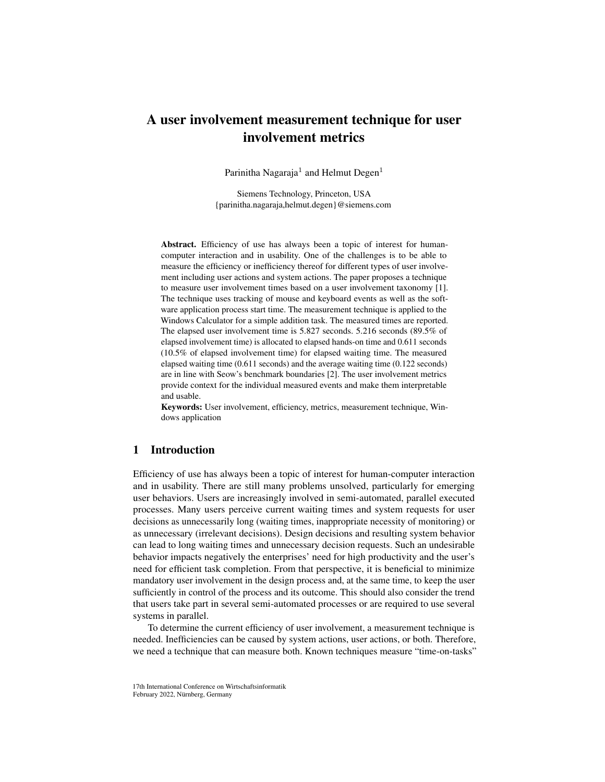## A user involvement measurement technique for user involvement metrics

Parinitha Nagaraja $^1$  and Helmut Degen $^1$ 

Siemens Technology, Princeton, USA {parinitha.nagaraja,helmut.degen}@siemens.com

Abstract. Efficiency of use has always been a topic of interest for humancomputer interaction and in usability. One of the challenges is to be able to measure the efficiency or inefficiency thereof for different types of user involvement including user actions and system actions. The paper proposes a technique to measure user involvement times based on a user involvement taxonomy [\[1\]](#page-11-0). The technique uses tracking of mouse and keyboard events as well as the software application process start time. The measurement technique is applied to the Windows Calculator for a simple addition task. The measured times are reported. The elapsed user involvement time is 5.827 seconds. 5.216 seconds (89.5% of elapsed involvement time) is allocated to elapsed hands-on time and 0.611 seconds (10.5% of elapsed involvement time) for elapsed waiting time. The measured elapsed waiting time (0.611 seconds) and the average waiting time (0.122 seconds) are in line with Seow's benchmark boundaries [\[2\]](#page-11-1). The user involvement metrics provide context for the individual measured events and make them interpretable and usable.

Keywords: User involvement, efficiency, metrics, measurement technique, Windows application

## 1 Introduction

Efficiency of use has always been a topic of interest for human-computer interaction and in usability. There are still many problems unsolved, particularly for emerging user behaviors. Users are increasingly involved in semi-automated, parallel executed processes. Many users perceive current waiting times and system requests for user decisions as unnecessarily long (waiting times, inappropriate necessity of monitoring) or as unnecessary (irrelevant decisions). Design decisions and resulting system behavior can lead to long waiting times and unnecessary decision requests. Such an undesirable behavior impacts negatively the enterprises' need for high productivity and the user's need for efficient task completion. From that perspective, it is beneficial to minimize mandatory user involvement in the design process and, at the same time, to keep the user sufficiently in control of the process and its outcome. This should also consider the trend that users take part in several semi-automated processes or are required to use several systems in parallel.

To determine the current efficiency of user involvement, a measurement technique is needed. Inefficiencies can be caused by system actions, user actions, or both. Therefore, we need a technique that can measure both. Known techniques measure "time-on-tasks"

<sup>17</sup>th International Conference on Wirtschaftsinformatik February 2022, Nürnberg, Germany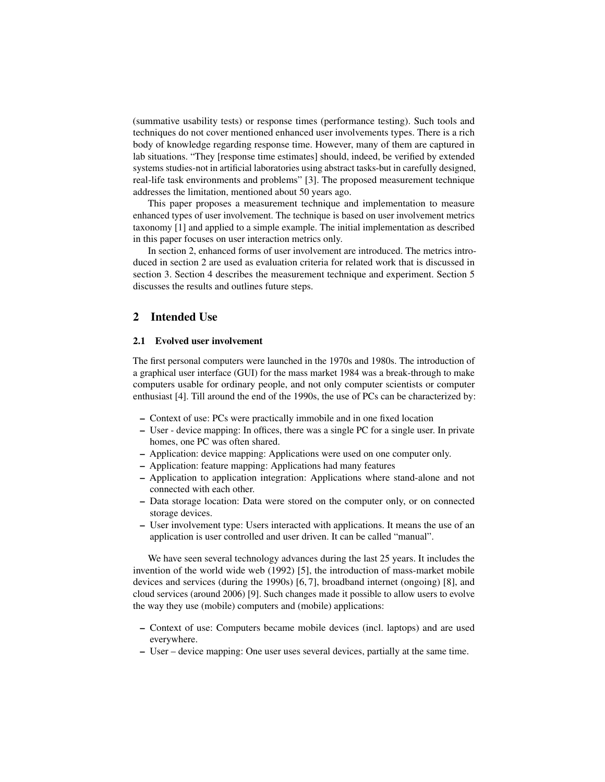(summative usability tests) or response times (performance testing). Such tools and techniques do not cover mentioned enhanced user involvements types. There is a rich body of knowledge regarding response time. However, many of them are captured in lab situations. "They [response time estimates] should, indeed, be verified by extended systems studies-not in artificial laboratories using abstract tasks-but in carefully designed, real-life task environments and problems" [\[3\]](#page-11-2). The proposed measurement technique addresses the limitation, mentioned about 50 years ago.

This paper proposes a measurement technique and implementation to measure enhanced types of user involvement. The technique is based on user involvement metrics taxonomy [\[1\]](#page-11-0) and applied to a simple example. The initial implementation as described in this paper focuses on user interaction metrics only.

In section 2, enhanced forms of user involvement are introduced. The metrics introduced in section 2 are used as evaluation criteria for related work that is discussed in section 3. Section 4 describes the measurement technique and experiment. Section 5 discusses the results and outlines future steps.

### 2 Intended Use

#### 2.1 Evolved user involvement

The first personal computers were launched in the 1970s and 1980s. The introduction of a graphical user interface (GUI) for the mass market 1984 was a break-through to make computers usable for ordinary people, and not only computer scientists or computer enthusiast [\[4\]](#page-11-3). Till around the end of the 1990s, the use of PCs can be characterized by:

- Context of use: PCs were practically immobile and in one fixed location
- User device mapping: In offices, there was a single PC for a single user. In private homes, one PC was often shared.
- Application: device mapping: Applications were used on one computer only.
- Application: feature mapping: Applications had many features
- Application to application integration: Applications where stand-alone and not connected with each other.
- Data storage location: Data were stored on the computer only, or on connected storage devices.
- User involvement type: Users interacted with applications. It means the use of an application is user controlled and user driven. It can be called "manual".

We have seen several technology advances during the last 25 years. It includes the invention of the world wide web (1992) [\[5\]](#page-11-4), the introduction of mass-market mobile devices and services (during the 1990s) [\[6,](#page-11-5) [7\]](#page-11-6), broadband internet (ongoing) [\[8\]](#page-11-7), and cloud services (around 2006) [\[9\]](#page-11-8). Such changes made it possible to allow users to evolve the way they use (mobile) computers and (mobile) applications:

- Context of use: Computers became mobile devices (incl. laptops) and are used everywhere.
- User device mapping: One user uses several devices, partially at the same time.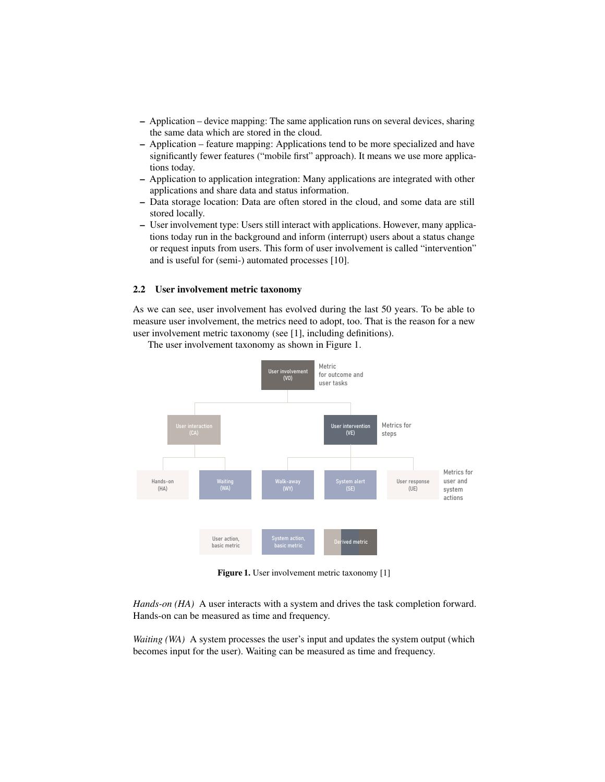- Application device mapping: The same application runs on several devices, sharing the same data which are stored in the cloud.
- Application feature mapping: Applications tend to be more specialized and have significantly fewer features ("mobile first" approach). It means we use more applications today.
- Application to application integration: Many applications are integrated with other applications and share data and status information.
- Data storage location: Data are often stored in the cloud, and some data are still stored locally.
- User involvement type: Users still interact with applications. However, many applications today run in the background and inform (interrupt) users about a status change or request inputs from users. This form of user involvement is called "intervention" and is useful for (semi-) automated processes [\[10\]](#page-12-0).

#### 2.2 User involvement metric taxonomy

As we can see, user involvement has evolved during the last 50 years. To be able to measure user involvement, the metrics need to adopt, too. That is the reason for a new user involvement metric taxonomy (see [\[1\]](#page-11-0), including definitions).

<span id="page-3-0"></span>

The user involvement taxonomy as shown in Figure [1.](#page-3-0)

Figure 1. User involvement metric taxonomy [\[1\]](#page-11-0)

*Hands-on (HA)* A user interacts with a system and drives the task completion forward. Hands-on can be measured as time and frequency.

*Waiting (WA)* A system processes the user's input and updates the system output (which becomes input for the user). Waiting can be measured as time and frequency.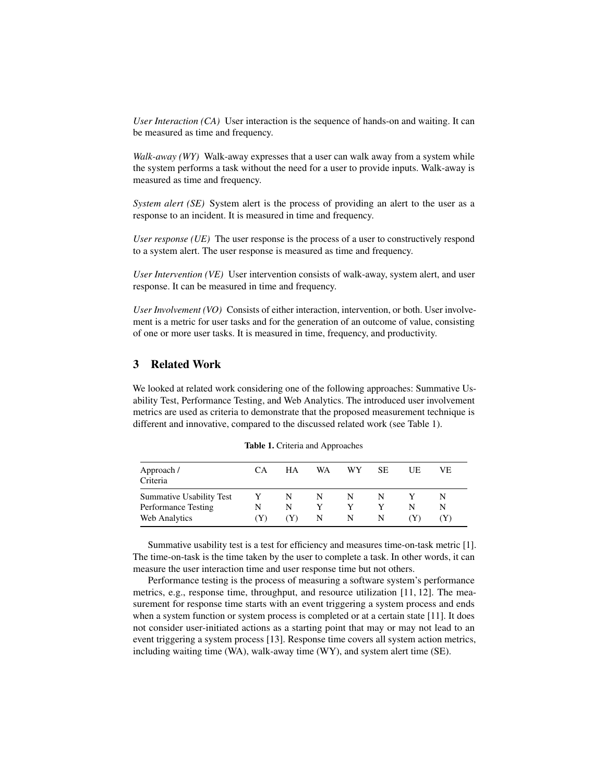*User Interaction (CA)* User interaction is the sequence of hands-on and waiting. It can be measured as time and frequency.

*Walk-away (WY)* Walk-away expresses that a user can walk away from a system while the system performs a task without the need for a user to provide inputs. Walk-away is measured as time and frequency.

*System alert (SE)* System alert is the process of providing an alert to the user as a response to an incident. It is measured in time and frequency.

*User response (UE)* The user response is the process of a user to constructively respond to a system alert. The user response is measured as time and frequency.

*User Intervention (VE)* User intervention consists of walk-away, system alert, and user response. It can be measured in time and frequency.

*User Involvement (VO)* Consists of either interaction, intervention, or both. User involvement is a metric for user tasks and for the generation of an outcome of value, consisting of one or more user tasks. It is measured in time, frequency, and productivity.

## 3 Related Work

We looked at related work considering one of the following approaches: Summative Usability Test, Performance Testing, and Web Analytics. The introduced user involvement metrics are used as criteria to demonstrate that the proposed measurement technique is different and innovative, compared to the discussed related work (see Table [1\)](#page-4-0).

<span id="page-4-0"></span>

| Approach /<br>Criteria   | CА    | HА  | WA. | WY. | <b>SE</b> | UE | VE |
|--------------------------|-------|-----|-----|-----|-----------|----|----|
| Summative Usability Test | Y     | N   | N   | N   | N         |    | N  |
| Performance Testing      | N     | N   | Y   |     |           | N  | N  |
| Web Analytics            | ( Y ) | (Y) | N   | N   | N         |    |    |

Table 1. Criteria and Approaches

Summative usability test is a test for efficiency and measures time-on-task metric [\[1\]](#page-11-0). The time-on-task is the time taken by the user to complete a task. In other words, it can measure the user interaction time and user response time but not others.

Performance testing is the process of measuring a software system's performance metrics, e.g., response time, throughput, and resource utilization [\[11,](#page-12-1) [12\]](#page-12-2). The measurement for response time starts with an event triggering a system process and ends when a system function or system process is completed or at a certain state [\[11\]](#page-12-1). It does not consider user-initiated actions as a starting point that may or may not lead to an event triggering a system process [\[13\]](#page-12-3). Response time covers all system action metrics, including waiting time (WA), walk-away time (WY), and system alert time (SE).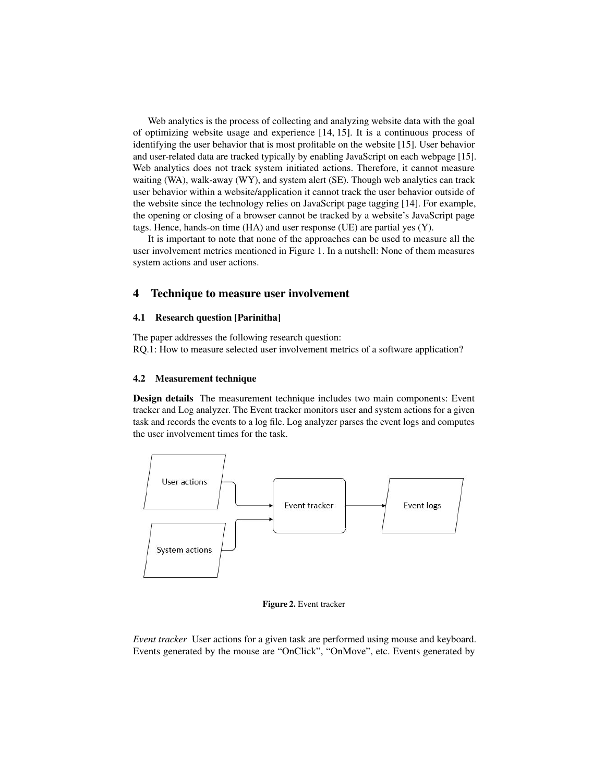Web analytics is the process of collecting and analyzing website data with the goal of optimizing website usage and experience [\[14,](#page-12-4) [15\]](#page-12-5). It is a continuous process of identifying the user behavior that is most profitable on the website [\[15\]](#page-12-5). User behavior and user-related data are tracked typically by enabling JavaScript on each webpage [\[15\]](#page-12-5). Web analytics does not track system initiated actions. Therefore, it cannot measure waiting (WA), walk-away (WY), and system alert (SE). Though web analytics can track user behavior within a website/application it cannot track the user behavior outside of the website since the technology relies on JavaScript page tagging [\[14\]](#page-12-4). For example, the opening or closing of a browser cannot be tracked by a website's JavaScript page tags. Hence, hands-on time (HA) and user response (UE) are partial yes (Y).

It is important to note that none of the approaches can be used to measure all the user involvement metrics mentioned in Figure [1.](#page-3-0) In a nutshell: None of them measures system actions and user actions.

#### 4 Technique to measure user involvement

#### 4.1 Research question [Parinitha]

The paper addresses the following research question: RQ.1: How to measure selected user involvement metrics of a software application?

#### 4.2 Measurement technique

Design details The measurement technique includes two main components: Event tracker and Log analyzer. The Event tracker monitors user and system actions for a given task and records the events to a log file. Log analyzer parses the event logs and computes the user involvement times for the task.



Figure 2. Event tracker

*Event tracker* User actions for a given task are performed using mouse and keyboard. Events generated by the mouse are "OnClick", "OnMove", etc. Events generated by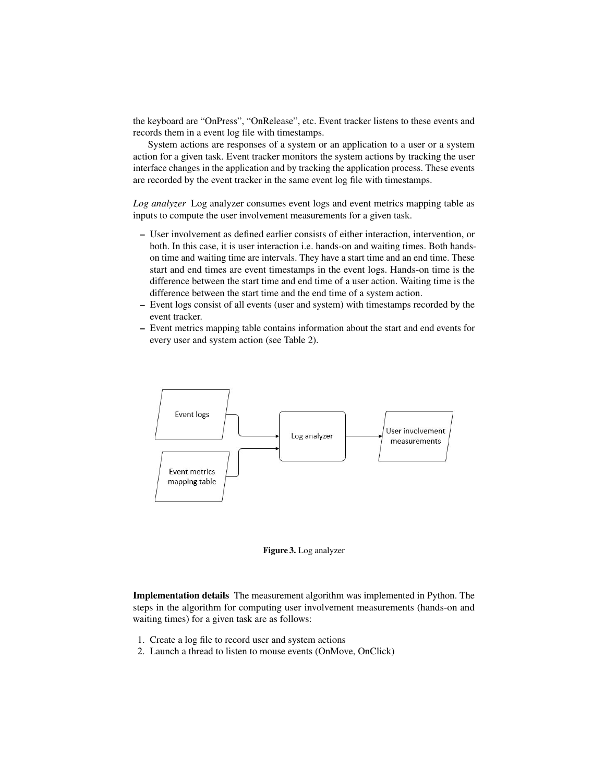the keyboard are "OnPress", "OnRelease", etc. Event tracker listens to these events and records them in a event log file with timestamps.

System actions are responses of a system or an application to a user or a system action for a given task. Event tracker monitors the system actions by tracking the user interface changes in the application and by tracking the application process. These events are recorded by the event tracker in the same event log file with timestamps.

*Log analyzer* Log analyzer consumes event logs and event metrics mapping table as inputs to compute the user involvement measurements for a given task.

- User involvement as defined earlier consists of either interaction, intervention, or both. In this case, it is user interaction i.e. hands-on and waiting times. Both handson time and waiting time are intervals. They have a start time and an end time. These start and end times are event timestamps in the event logs. Hands-on time is the difference between the start time and end time of a user action. Waiting time is the difference between the start time and the end time of a system action.
- Event logs consist of all events (user and system) with timestamps recorded by the event tracker.
- Event metrics mapping table contains information about the start and end events for every user and system action (see Table [2\)](#page-7-0).



Figure 3. Log analyzer

Implementation details The measurement algorithm was implemented in Python. The steps in the algorithm for computing user involvement measurements (hands-on and waiting times) for a given task are as follows:

- 1. Create a log file to record user and system actions
- 2. Launch a thread to listen to mouse events (OnMove, OnClick)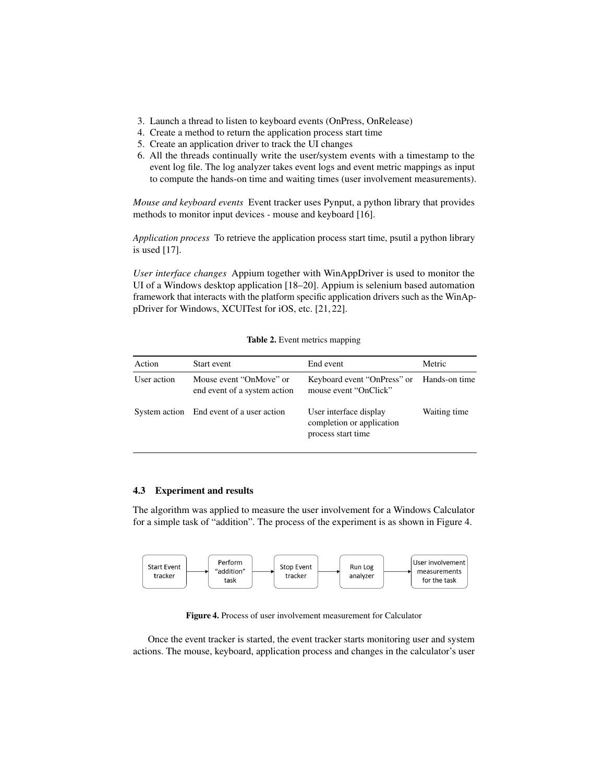- 3. Launch a thread to listen to keyboard events (OnPress, OnRelease)
- 4. Create a method to return the application process start time
- 5. Create an application driver to track the UI changes
- 6. All the threads continually write the user/system events with a timestamp to the event log file. The log analyzer takes event logs and event metric mappings as input to compute the hands-on time and waiting times (user involvement measurements).

*Mouse and keyboard events* Event tracker uses Pynput, a python library that provides methods to monitor input devices - mouse and keyboard [\[16\]](#page-12-6).

*Application process* To retrieve the application process start time, psutil a python library is used [\[17\]](#page-12-7).

*User interface changes* Appium together with WinAppDriver is used to monitor the UI of a Windows desktop application [\[18–](#page-12-8)[20\]](#page-12-9). Appium is selenium based automation framework that interacts with the platform specific application drivers such as the WinAppDriver for Windows, XCUITest for iOS, etc. [\[21,](#page-12-10) [22\]](#page-12-11).

<span id="page-7-0"></span>

| Action      | Start event                                             | End event                                                                 | Metric       |
|-------------|---------------------------------------------------------|---------------------------------------------------------------------------|--------------|
| User action | Mouse event "OnMove" or<br>end event of a system action | Keyboard event "OnPress" or Hands-on time<br>mouse event "OnClick"        |              |
|             | System action End event of a user action                | User interface display<br>completion or application<br>process start time | Waiting time |

Table 2. Event metrics mapping

#### 4.3 Experiment and results

The algorithm was applied to measure the user involvement for a Windows Calculator for a simple task of "addition". The process of the experiment is as shown in Figure [4.](#page-7-1)

<span id="page-7-1"></span>

Figure 4. Process of user involvement measurement for Calculator

Once the event tracker is started, the event tracker starts monitoring user and system actions. The mouse, keyboard, application process and changes in the calculator's user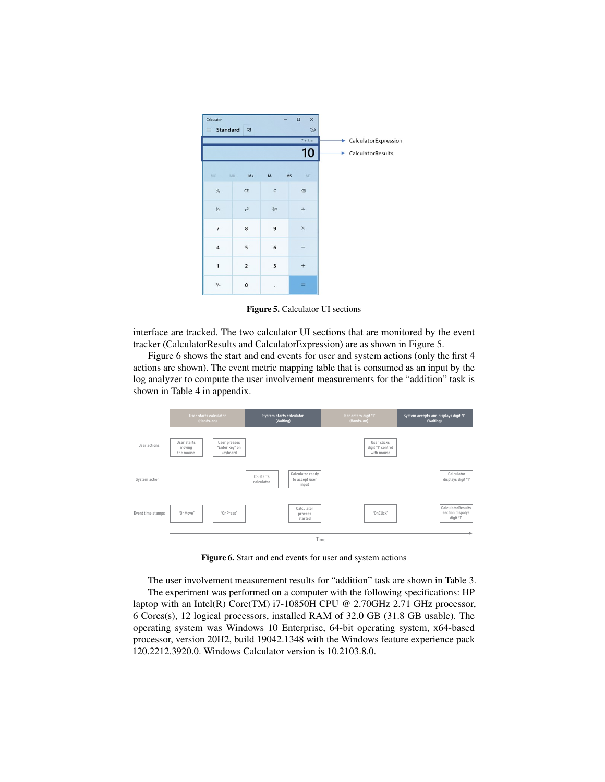<span id="page-8-0"></span>

Figure 5. Calculator UI sections

interface are tracked. The two calculator UI sections that are monitored by the event tracker (CalculatorResults and CalculatorExpression) are as shown in Figure [5.](#page-8-0)

Figure [6](#page-8-1) shows the start and end events for user and system actions (only the first 4 actions are shown). The event metric mapping table that is consumed as an input by the log analyzer to compute the user involvement measurements for the "addition" task is shown in Table [4](#page-13-0) in appendix.

<span id="page-8-1"></span>

Figure 6. Start and end events for user and system actions

The user involvement measurement results for "addition" task are shown in Table [3.](#page-9-0) The experiment was performed on a computer with the following specifications: HP laptop with an Intel(R) Core(TM)  $17-10850$ H CPU @ 2.70GHz 2.71 GHz processor, 6 Cores(s), 12 logical processors, installed RAM of 32.0 GB (31.8 GB usable). The operating system was Windows 10 Enterprise, 64-bit operating system, x64-based processor, version 20H2, build 19042.1348 with the Windows feature experience pack 120.2212.3920.0. Windows Calculator version is 10.2103.8.0.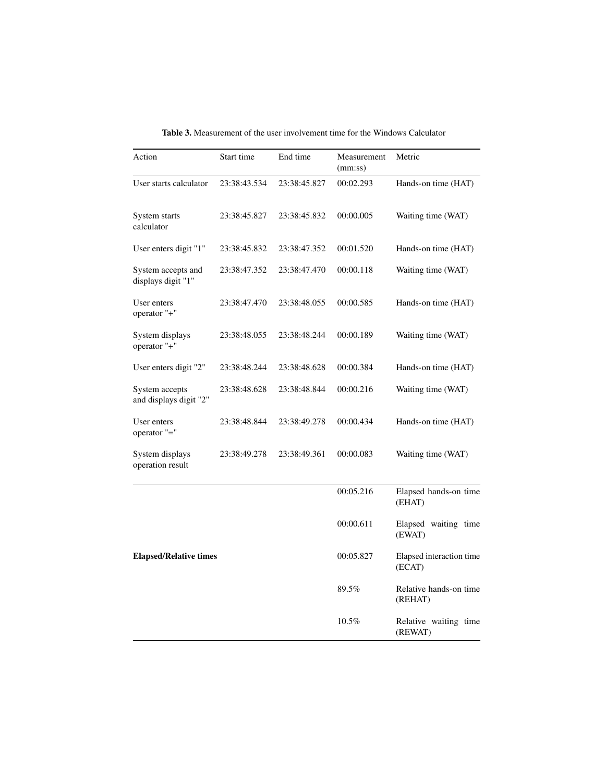<span id="page-9-0"></span>

| Action                                   | Start time   | End time     | Measurement<br>(mm:ss) | Metric                             |
|------------------------------------------|--------------|--------------|------------------------|------------------------------------|
| User starts calculator                   | 23:38:43.534 | 23:38:45.827 | 00:02.293              | Hands-on time (HAT)                |
| System starts<br>calculator              | 23:38:45.827 | 23:38:45.832 | 00:00.005              | Waiting time (WAT)                 |
| User enters digit "1"                    | 23:38:45.832 | 23:38:47.352 | 00:01.520              | Hands-on time (HAT)                |
| System accepts and<br>displays digit "1" | 23:38:47.352 | 23:38:47.470 | 00:00.118              | Waiting time (WAT)                 |
| User enters<br>operator "+"              | 23:38:47.470 | 23:38:48.055 | 00:00.585              | Hands-on time (HAT)                |
| System displays<br>operator "+"          | 23:38:48.055 | 23:38:48.244 | 00:00.189              | Waiting time (WAT)                 |
| User enters digit "2"                    | 23:38:48.244 | 23:38:48.628 | 00:00.384              | Hands-on time (HAT)                |
| System accepts<br>and displays digit "2" | 23:38:48.628 | 23:38:48.844 | 00:00.216              | Waiting time (WAT)                 |
| User enters<br>operator "="              | 23:38:48.844 | 23:38:49.278 | 00:00.434              | Hands-on time (HAT)                |
| System displays<br>operation result      | 23:38:49.278 | 23:38:49.361 | 00:00.083              | Waiting time (WAT)                 |
|                                          |              |              | 00:05.216              | Elapsed hands-on time<br>(EHAT)    |
|                                          |              |              | 00:00.611              | Elapsed waiting time<br>(EWAT)     |
| <b>Elapsed/Relative times</b>            |              |              | 00:05.827              | Elapsed interaction time<br>(ECAT) |
|                                          |              |              | 89.5%                  | Relative hands-on time<br>(REHAT)  |
|                                          |              |              | $10.5\%$               | Relative waiting time<br>(REWAT)   |

Table 3. Measurement of the user involvement time for the Windows Calculator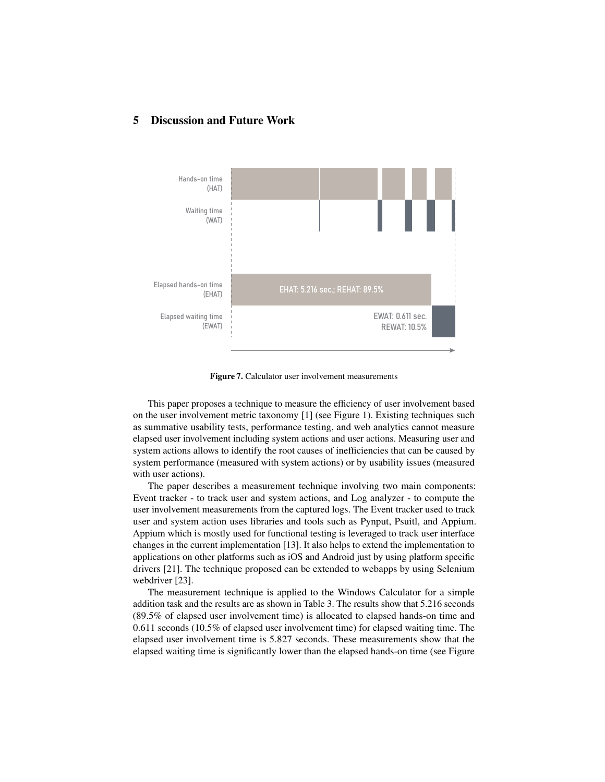#### 5 Discussion and Future Work

<span id="page-10-0"></span>

Figure 7. Calculator user involvement measurements

This paper proposes a technique to measure the efficiency of user involvement based on the user involvement metric taxonomy [\[1\]](#page-11-0) (see Figure [1\)](#page-3-0). Existing techniques such as summative usability tests, performance testing, and web analytics cannot measure elapsed user involvement including system actions and user actions. Measuring user and system actions allows to identify the root causes of inefficiencies that can be caused by system performance (measured with system actions) or by usability issues (measured with user actions).

The paper describes a measurement technique involving two main components: Event tracker - to track user and system actions, and Log analyzer - to compute the user involvement measurements from the captured logs. The Event tracker used to track user and system action uses libraries and tools such as Pynput, Psuitl, and Appium. Appium which is mostly used for functional testing is leveraged to track user interface changes in the current implementation [\[13\]](#page-12-3). It also helps to extend the implementation to applications on other platforms such as iOS and Android just by using platform specific drivers [\[21\]](#page-12-10). The technique proposed can be extended to webapps by using Selenium webdriver [\[23\]](#page-12-12).

The measurement technique is applied to the Windows Calculator for a simple addition task and the results are as shown in Table [3.](#page-9-0) The results show that 5.216 seconds (89.5% of elapsed user involvement time) is allocated to elapsed hands-on time and 0.611 seconds (10.5% of elapsed user involvement time) for elapsed waiting time. The elapsed user involvement time is 5.827 seconds. These measurements show that the elapsed waiting time is significantly lower than the elapsed hands-on time (see Figure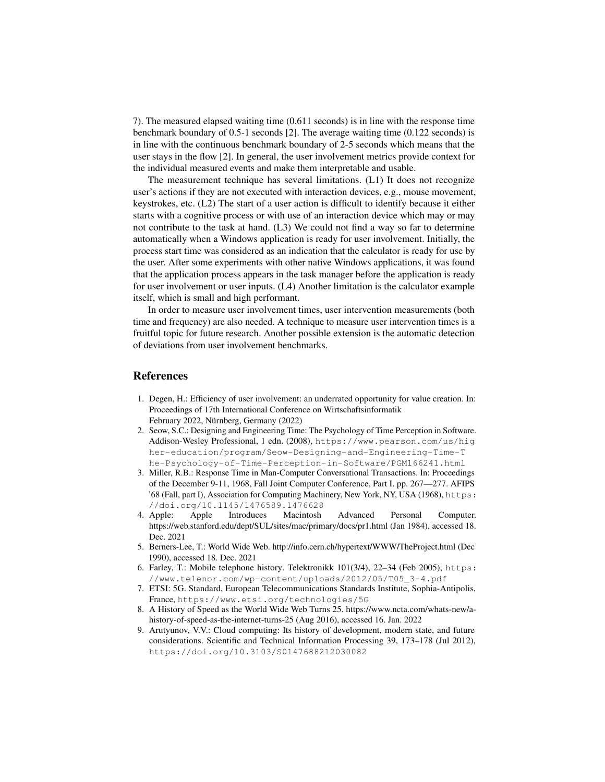[7\)](#page-10-0). The measured elapsed waiting time (0.611 seconds) is in line with the response time benchmark boundary of 0.5-1 seconds [\[2\]](#page-11-1). The average waiting time (0.122 seconds) is in line with the continuous benchmark boundary of 2-5 seconds which means that the user stays in the flow [\[2\]](#page-11-1). In general, the user involvement metrics provide context for the individual measured events and make them interpretable and usable.

The measurement technique has several limitations. (L1) It does not recognize user's actions if they are not executed with interaction devices, e.g., mouse movement, keystrokes, etc. (L2) The start of a user action is difficult to identify because it either starts with a cognitive process or with use of an interaction device which may or may not contribute to the task at hand. (L3) We could not find a way so far to determine automatically when a Windows application is ready for user involvement. Initially, the process start time was considered as an indication that the calculator is ready for use by the user. After some experiments with other native Windows applications, it was found that the application process appears in the task manager before the application is ready for user involvement or user inputs. (L4) Another limitation is the calculator example itself, which is small and high performant.

In order to measure user involvement times, user intervention measurements (both time and frequency) are also needed. A technique to measure user intervention times is a fruitful topic for future research. Another possible extension is the automatic detection of deviations from user involvement benchmarks.

#### References

- <span id="page-11-0"></span>1. Degen, H.: Efficiency of user involvement: an underrated opportunity for value creation. In: Proceedings of 17th International Conference on Wirtschaftsinformatik February 2022, Nürnberg, Germany (2022)
- <span id="page-11-1"></span>2. Seow, S.C.: Designing and Engineering Time: The Psychology of Time Perception in Software. Addison-Wesley Professional, 1 edn. (2008), [https://www.pearson.com/us/hig](https://www.pearson.com/us/higher-education/program/Seow-Designing-and-Engineering-Time-The-Psychology-of-Time-Perception-in-Software/PGM166241.html) [her-education/program/Seow-Designing-and-Engineering-Time-T](https://www.pearson.com/us/higher-education/program/Seow-Designing-and-Engineering-Time-The-Psychology-of-Time-Perception-in-Software/PGM166241.html) [he-Psychology-of-Time-Perception-in-Software/PGM166241.html](https://www.pearson.com/us/higher-education/program/Seow-Designing-and-Engineering-Time-The-Psychology-of-Time-Perception-in-Software/PGM166241.html)
- <span id="page-11-2"></span>3. Miller, R.B.: Response Time in Man-Computer Conversational Transactions. In: Proceedings of the December 9-11, 1968, Fall Joint Computer Conference, Part I. pp. 267––277. AFIPS '68 (Fall, part I), Association for Computing Machinery, New York, NY, USA (1968), [https:](https://doi.org/10.1145/1476589.1476628) [//doi.org/10.1145/1476589.1476628](https://doi.org/10.1145/1476589.1476628)
- <span id="page-11-3"></span>4. Apple: Apple Introduces Macintosh Advanced Personal Computer. https://web.stanford.edu/dept/SUL/sites/mac/primary/docs/pr1.html (Jan 1984), accessed 18. Dec. 2021
- <span id="page-11-4"></span>5. Berners-Lee, T.: World Wide Web. http://info.cern.ch/hypertext/WWW/TheProject.html (Dec 1990), accessed 18. Dec. 2021
- <span id="page-11-5"></span>6. Farley, T.: Mobile telephone history. Telektronikk 101(3/4), 22–34 (Feb 2005), [https:](https://www.telenor.com/wp-content/uploads/2012/05/T05_3-4.pdf) [//www.telenor.com/wp-content/uploads/2012/05/T05\\_3-4.pdf](https://www.telenor.com/wp-content/uploads/2012/05/T05_3-4.pdf)
- <span id="page-11-6"></span>7. ETSI: 5G. Standard, European Telecommunications Standards Institute, Sophia-Antipolis, France, <https://www.etsi.org/technologies/5G>
- <span id="page-11-7"></span>8. A History of Speed as the World Wide Web Turns 25. https://www.ncta.com/whats-new/ahistory-of-speed-as-the-internet-turns-25 (Aug 2016), accessed 16. Jan. 2022
- <span id="page-11-8"></span>9. Arutyunov, V.V.: Cloud computing: Its history of development, modern state, and future considerations. Scientific and Technical Information Processing 39, 173–178 (Jul 2012), <https://doi.org/10.3103/S0147688212030082>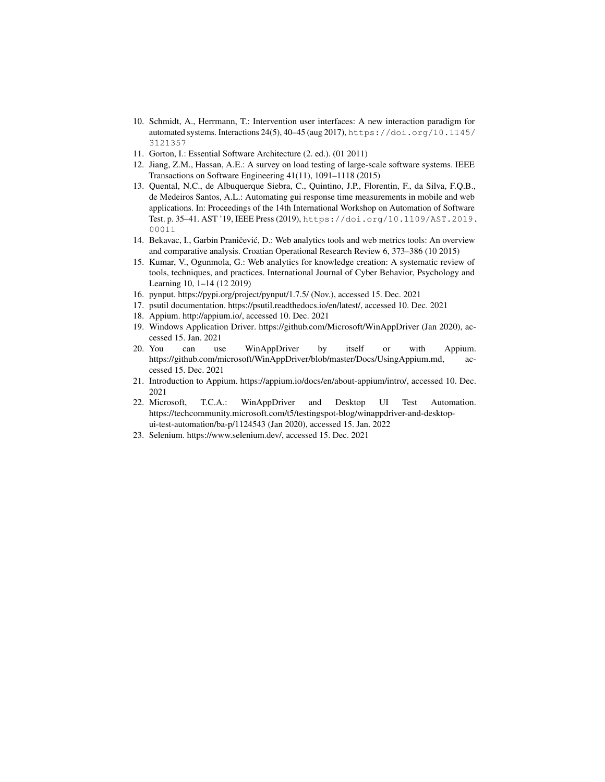- <span id="page-12-0"></span>10. Schmidt, A., Herrmann, T.: Intervention user interfaces: A new interaction paradigm for automated systems. Interactions 24(5), 40–45 (aug 2017), [https://doi.org/10.1145/](https://doi.org/10.1145/3121357) [3121357](https://doi.org/10.1145/3121357)
- <span id="page-12-1"></span>11. Gorton, I.: Essential Software Architecture (2. ed.). (01 2011)
- <span id="page-12-2"></span>12. Jiang, Z.M., Hassan, A.E.: A survey on load testing of large-scale software systems. IEEE Transactions on Software Engineering 41(11), 1091–1118 (2015)
- <span id="page-12-3"></span>13. Quental, N.C., de Albuquerque Siebra, C., Quintino, J.P., Florentin, F., da Silva, F.Q.B., de Medeiros Santos, A.L.: Automating gui response time measurements in mobile and web applications. In: Proceedings of the 14th International Workshop on Automation of Software Test. p. 35–41. AST '19, IEEE Press (2019), [https://doi.org/10.1109/AST.2019.](https://doi.org/10.1109/AST.2019.00011) [00011](https://doi.org/10.1109/AST.2019.00011)
- <span id="page-12-4"></span>14. Bekavac, I., Garbin Praničević, D.: Web analytics tools and web metrics tools: An overview and comparative analysis. Croatian Operational Research Review 6, 373–386 (10 2015)
- <span id="page-12-5"></span>15. Kumar, V., Ogunmola, G.: Web analytics for knowledge creation: A systematic review of tools, techniques, and practices. International Journal of Cyber Behavior, Psychology and Learning 10, 1–14 (12 2019)
- <span id="page-12-6"></span>16. pynput. https://pypi.org/project/pynput/1.7.5/ (Nov.), accessed 15. Dec. 2021
- <span id="page-12-7"></span>17. psutil documentation. https://psutil.readthedocs.io/en/latest/, accessed 10. Dec. 2021
- <span id="page-12-8"></span>18. Appium. http://appium.io/, accessed 10. Dec. 2021
- 19. Windows Application Driver. https://github.com/Microsoft/WinAppDriver (Jan 2020), accessed 15. Jan. 2021
- <span id="page-12-9"></span>20. You can use WinAppDriver by itself or with Appium. https://github.com/microsoft/WinAppDriver/blob/master/Docs/UsingAppium.md, accessed 15. Dec. 2021
- <span id="page-12-10"></span>21. Introduction to Appium. https://appium.io/docs/en/about-appium/intro/, accessed 10. Dec. 2021
- <span id="page-12-11"></span>22. Microsoft, T.C.A.: WinAppDriver and Desktop UI Test Automation. https://techcommunity.microsoft.com/t5/testingspot-blog/winappdriver-and-desktopui-test-automation/ba-p/1124543 (Jan 2020), accessed 15. Jan. 2022
- <span id="page-12-12"></span>23. Selenium. https://www.selenium.dev/, accessed 15. Dec. 2021